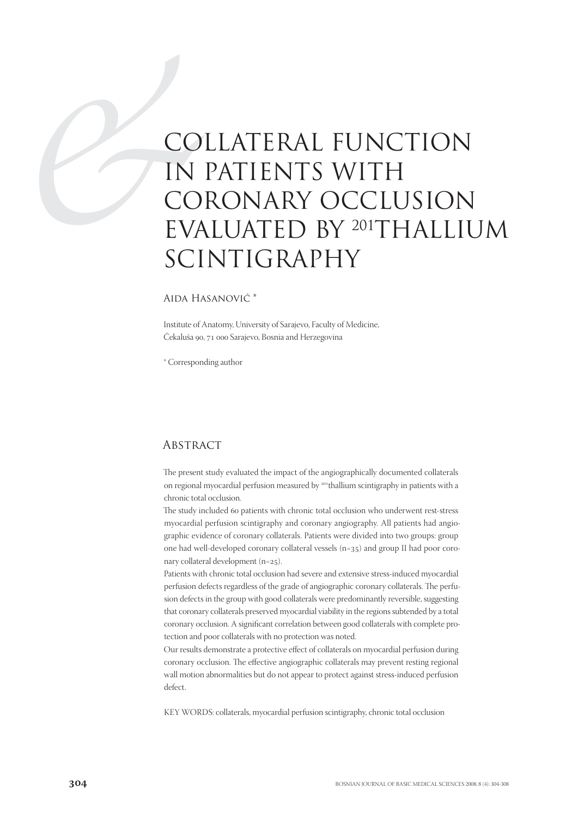# CO<br>
IN<br>
CO<br>
EVA<br>
SCI COLLATERAL FUNCTION IN PATIENTS WITH CORONARY OCCLUSION EVALUATED BY 201THALLIUM SCINTIGRAPHY

### Aida Hasanović \*

Institute of Anatomy, University of Sarajevo, Faculty of Medicine, Čekaluša 90, 71 000 Sarajevo, Bosnia and Herzegovina

\* Corresponding author

## **ABSTRACT**

The present study evaluated the impact of the angiographically documented collaterals on regional myocardial perfusion measured by <sup>201</sup>thallium scintigraphy in patients with a chronic total occlusion.

The study included 60 patients with chronic total occlusion who underwent rest-stress myocardial perfusion scintigraphy and coronary angiography. All patients had angiographic evidence of coronary collaterals. Patients were divided into two groups: group one had well-developed coronary collateral vessels  $(n=35)$  and group II had poor coronary collateral development  $(n=25)$ .

Patients with chronic total occlusion had severe and extensive stress-induced myocardial perfusion defects regardless of the grade of angiographic coronary collaterals. The perfusion defects in the group with good collaterals were predominantly reversible, suggesting that coronary collaterals preserved myocardial viability in the regions subtended by a total coronary occlusion. A significant correlation between good collaterals with complete protection and poor collaterals with no protection was noted.

Our results demonstrate a protective effect of collaterals on myocardial perfusion during coronary occlusion. The effective angiographic collaterals may prevent resting regional wall motion abnormalities but do not appear to protect against stress-induced perfusion defect.

KEY WORDS: collaterals, myocardial perfusion scintigraphy, chronic total occlusion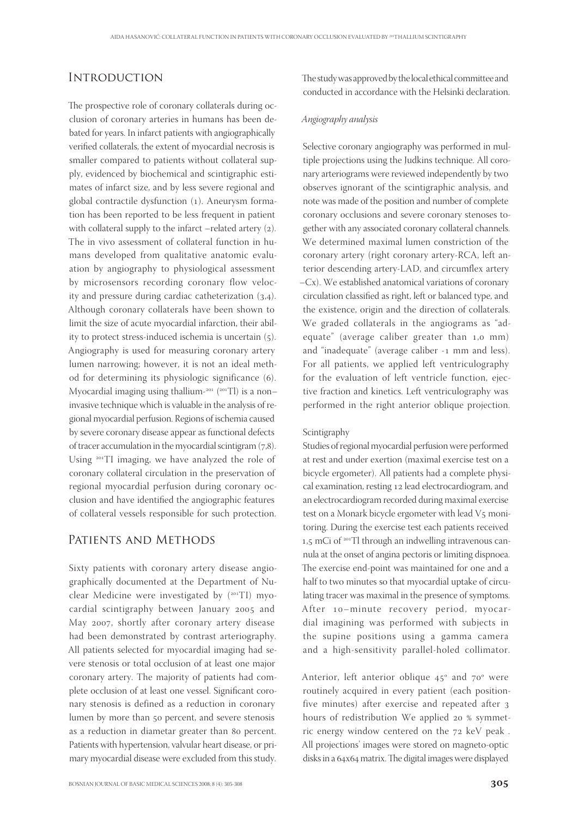# **INTRODUCTION**

The prospective role of coronary collaterals during occlusion of coronary arteries in humans has been debated for years. In infarct patients with angiographically verified collaterals, the extent of myocardial necrosis is smaller compared to patients without collateral supply, evidenced by biochemical and scintigraphic estimates of infarct size, and by less severe regional and global contractile dysfunction (1). Aneurysm formation has been reported to be less frequent in patient with collateral supply to the infarct –related artery  $(2)$ . The in vivo assessment of collateral function in humans developed from qualitative anatomic evaluation by angiography to physiological assessment by microsensors recording coronary flow velocity and pressure during cardiac catheterization  $(3,4)$ . Although coronary collaterals have been shown to limit the size of acute myocardial infarction, their ability to protect stress-induced ischemia is uncertain  $(5)$ . Angiography is used for measuring coronary artery lumen narrowing; however, it is not an ideal method for determining its physiologic significance (6). Myocardial imaging using thallium- $201$  ( $201$ Tl) is a noninvasive technique which is valuable in the analysis of regional myocardial perfusion. Regions of ischemia caused by severe coronary disease appear as functional defects of tracer accumulation in the myocardial scintigram  $(7,8)$ . Using  $201$  TI imaging, we have analyzed the role of coronary collateral circulation in the preservation of regional myocardial perfusion during coronary occlusion and have identified the angiographic features of collateral vessels responsible for such protection.

## Patients and Methods

Sixty patients with coronary artery disease angiographically documented at the Department of Nuclear Medicine were investigated by  $(^{201}T)$  myocardial scintigraphy between January 2005 and May 2007, shortly after coronary artery disease had been demonstrated by contrast arteriography. All patients selected for myocardial imaging had severe stenosis or total occlusion of at least one major coronary artery. The majority of patients had complete occlusion of at least one vessel. Significant coronary stenosis is defined as a reduction in coronary lumen by more than 50 percent, and severe stenosis as a reduction in diametar greater than 80 percent. Patients with hypertension, valvular heart disease, or primary myocardial disease were excluded from this study.

The study was approved by the local ethical committee and conducted in accordance with the Helsinki declaration.

#### Angiography analysis

Selective coronary angiography was performed in multiple projections using the Judkins technique. All coronary arteriograms were reviewed independently by two observes ignorant of the scintigraphic analysis, and note was made of the position and number of complete coronary occlusions and severe coronary stenoses together with any associated coronary collateral channels. We determined maximal lumen constriction of the coronary artery (right coronary artery-RCA, left anterior descending artery-LAD, and circumflex artery –Cx). We established anatomical variations of coronary circulation classified as right, left or balanced type, and the existence, origin and the direction of collaterals. We graded collaterals in the angiograms as "adequate" (average caliber greater than  $1,0$  mm) and "inadequate" (average caliber -1 mm and less). For all patients, we applied left ventriculography for the evaluation of left ventricle function, ejective fraction and kinetics. Left ventriculography was performed in the right anterior oblique projection.

#### Scintigraphy

Studies of regional myocardial perfusion were performed at rest and under exertion (maximal exercise test on a bicycle ergometer). All patients had a complete physical examination, resting 12 lead electrocardiogram, and an electrocardiogram recorded during maximal exercise test on a Monark bicycle ergometer with lead  $V<sub>5</sub>$  monitoring. During the exercise test each patients received  $1.5$  mCi of  $201$ Tl through an indwelling intravenous cannula at the onset of angina pectoris or limiting dispnoea. The exercise end-point was maintained for one and a half to two minutes so that myocardial uptake of circulating tracer was maximal in the presence of symptoms. After 10-minute recovery period, myocardial imagining was performed with subjects in the supine positions using a gamma camera and a high-sensitivity parallel-holed collimator.

Anterior, left anterior oblique  $45^\circ$  and  $70^\circ$  were routinely acquired in every patient (each positionfive minutes) after exercise and repeated after hours of redistribution We applied 20 % symmetric energy window centered on the  $72$  keV peak. All projections' images were stored on magneto-optic disks in a 64x64 matrix. The digital images were displayed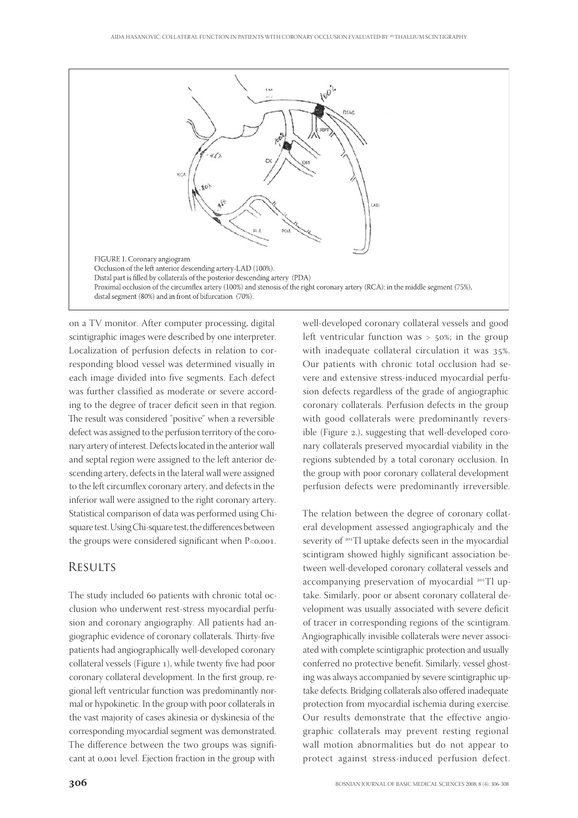

on a TV monitor. After computer processing, digital scintigraphic images were described by one interpreter. Localization of perfusion defects in relation to corresponding blood vessel was determined visually in each image divided into five segments. Each defect was further classified as moderate or severe according to the degree of tracer deficit seen in that region. The result was considered "positive" when a reversible defect was assigned to the perfusion territory of the coronary artery of interest. Defects located in the anterior wall and septal region were assigned to the left anterior descending artery, defects in the lateral wall were assigned to the left circumflex coronary artery, and defects in the inferior wall were assigned to the right coronary artery. Statistical comparison of data was performed using Chisquare test. Using Chi-square test, the differences between the groups were considered significant when  $P<0.001$ .

## **RESULTS**

The study included 60 patients with chronic total occlusion who underwent rest-stress myocardial perfusion and coronary angiography. All patients had angiographic evidence of coronary collaterals. Thirty-five patients had angiographically well-developed coronary collateral vessels (Figure 1), while twenty five had poor coronary collateral development. In the first group, regional left ventricular function was predominantly normal or hypokinetic. In the group with poor collaterals in the vast majority of cases akinesia or dyskinesia of the corresponding myocardial segment was demonstrated. The difference between the two groups was significant at 0,001 level. Ejection fraction in the group with

well-developed coronary collateral vessels and good left ventricular function was  $> 50\%$ ; in the group with inadequate collateral circulation it was 35%. Our patients with chronic total occlusion had severe and extensive stress-induced myocardial perfusion defects regardless of the grade of angiographic coronary collaterals. Perfusion defects in the group with good collaterals were predominantly reversible (Figure 2.), suggesting that well-developed coronary collaterals preserved myocardial viability in the regions subtended by a total coronary occlusion. In the group with poor coronary collateral development perfusion defects were predominantly irreversible.

The relation between the degree of coronary collateral development assessed angiographicaly and the severity of <sup>201</sup>Tl uptake defects seen in the myocardial scintigram showed highly significant association between well-developed coronary collateral vessels and accompanying preservation of myocardial <sup>201</sup>Tl uptake. Similarly, poor or absent coronary collateral development was usually associated with severe deficit of tracer in corresponding regions of the scintigram. Angiographically invisible collaterals were never associated with complete scintigraphic protection and usually conferred no protective benefit. Similarly, vessel ghosting was always accompanied by severe scintigraphic uptake defects. Bridging collaterals also offered inadequate protection from myocardial ischemia during exercise. Our results demonstrate that the effective angiographic collaterals may prevent resting regional wall motion abnormalities but do not appear to protect against stress-induced perfusion defect.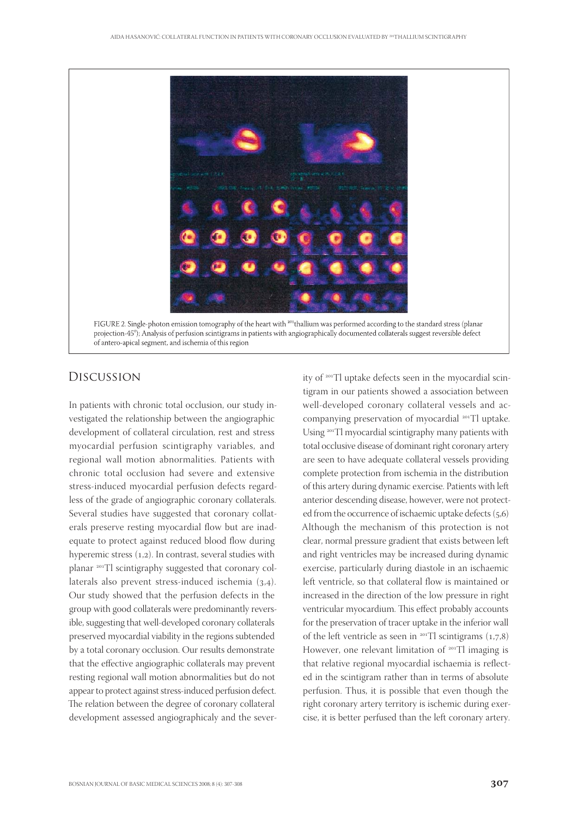

FIGURE 2. Single-photon emission tomography of the heart with <sup>201</sup>thallium was performed according to the standard stress (planar projection-45°); Analysis of perfusion scintigrams in patients with angiographically documented collaterals suggest reversible defect of antero-apical segment, and ischemia of this region

# Discussion

In patients with chronic total occlusion, our study investigated the relationship between the angiographic development of collateral circulation, rest and stress myocardial perfusion scintigraphy variables, and regional wall motion abnormalities. Patients with chronic total occlusion had severe and extensive stress-induced myocardial perfusion defects regardless of the grade of angiographic coronary collaterals. Several studies have suggested that coronary collaterals preserve resting myocardial flow but are inadequate to protect against reduced blood flow during hyperemic stress  $(1,2)$ . In contrast, several studies with planar <sup>201</sup>Tl scintigraphy suggested that coronary collaterals also prevent stress-induced ischemia  $(3,4)$ . Our study showed that the perfusion defects in the group with good collaterals were predominantly reversible, suggesting that well-developed coronary collaterals preserved myocardial viability in the regions subtended by a total coronary occlusion. Our results demonstrate that the effective angiographic collaterals may prevent resting regional wall motion abnormalities but do not appear to protect against stress-induced perfusion defect. The relation between the degree of coronary collateral development assessed angiographicaly and the severity of <sup>201</sup>Tl uptake defects seen in the myocardial scintigram in our patients showed a association between well-developed coronary collateral vessels and accompanying preservation of myocardial <sup>201</sup>Tl uptake. Using <sup>201</sup>Tl myocardial scintigraphy many patients with total occlusive disease of dominant right coronary artery are seen to have adequate collateral vessels providing complete protection from ischemia in the distribution of this artery during dynamic exercise. Patients with left anterior descending disease, however, were not protected from the occurrence of ischaemic uptake defects  $(5,6)$ Although the mechanism of this protection is not clear, normal pressure gradient that exists between left and right ventricles may be increased during dynamic exercise, particularly during diastole in an ischaemic left ventricle, so that collateral flow is maintained or increased in the direction of the low pressure in right ventricular myocardium. This effect probably accounts for the preservation of tracer uptake in the inferior wall of the left ventricle as seen in  $201$ Tl scintigrams (1,7,8) However, one relevant limitation of  $201$  Tl imaging is that relative regional myocardial ischaemia is reflected in the scintigram rather than in terms of absolute perfusion. Thus, it is possible that even though the right coronary artery territory is ischemic during exercise, it is better perfused than the left coronary artery.